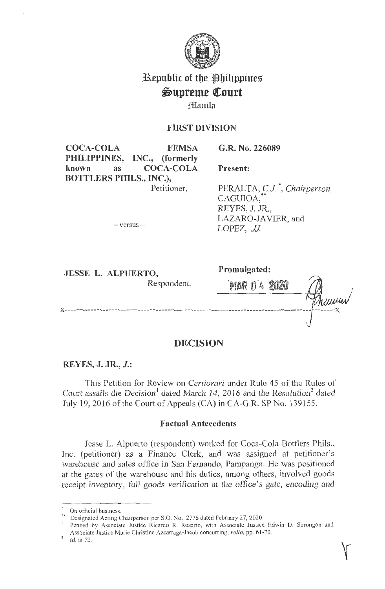

# **Republic of the Philippines \$S)Upreme Ql:ourt**

# **Jfl!lanila**

# **FIRST DIVISION**

**G.R. No. 226089** 

**COCA-COLA FEMSA PHILIPPINES, INC., (formerly known as COCA-COLA BOTTLERS PHILS., INC.),**  Petitioner,

**Present:** 

PERALTA, CJ\*, *Chairperson,*  CAGUIOA,<br>REYES, J. JR., LAZARO-IA VIER, and LOPEZ, JJ

 $-$  versus  $-$ 

**JESSEL. ALPUERTO,** 

**Promulgated:** 

Respondent. **'MAR ff 4 ·2020 x------------------------------------------------------------------------------------ -------x** 

# **DECISION**

# **REYES, J. JR., J.:**

This Petition for Review on *Certiorari* under Rule 45 of the Rules of Court assails the Decision<sup>1</sup> dated March 14, 2016 and the Resolution<sup>2</sup> dated July 19, 2016 of the Court of Appeals (CA) in CA-G.R. SP No. 139155.

## **Factual Antecedents**

Jesse L. Alpuerto (respondent) worked for Coca-Cola Bottlers Phils., Inc. (petitioner) as a Finance Clerk, and was assigned at petitioner's warehouse and sales office in San Fernando, Pampanga. He was positioned at the gates of the warehouse and his duties, among others, involved goods receipt inventory, full goods verification at the office's gate, encoding and

 $\sum_{n=1}^{\infty}$  On official business.

Designated Acting Chairperson per S.O. No. 2776 dated February 27, 2020.

<sup>&</sup>lt;sup>1</sup> Penned by Associate Justice Ricardo R. Rosario, with Associate Justice Edwin D. Sorongon and Associate Justice Marie Christine Azcarraga-Jacob concurring; *rollo*, pp. 61-70.

Id. at 72.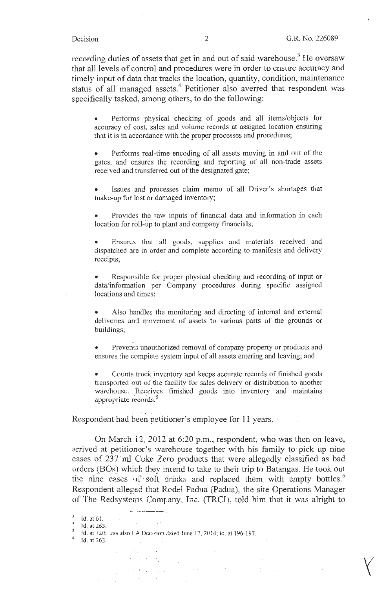$\bigg\langle$ 

recording duties of assets that get in and out of said warehouse.<sup>3</sup> He oversaw that all levels of control and procedures were in order to ensure accuracy and timely input of data that tracks the location, quantity, condition, maintenance status of all managed assets.<sup>4</sup> Petitioner also averred that respondent was specifically tasked, among others, to do the following:

• Performs physical checking of goods and all items/objects for accuracy of cost, sales and volume records at assigned location ensuring that it is in accordance with the proper processes and procedures;

• Performs real-time encoding of all assets moving in and out of the gates, and ensures the recording and reporting of all non-trade assets received and transferred out of the designated gate;

Issues and processes claim memo of all Driver's shortages that make-up for lost or damaged inventory;

• Provides the raw inputs of financial data and information in each location for roll-up to plant and company financials;

Ensures that all goods, supplies and materials received and dispatched are in order and complete according to manifests and delivery receipts;

Responsible for proper physical checking and recording of input or data/information per Company procedures during specific assigned locations and times;

Also handles the monitoring and directing of internal and external deliveries and movement cf assets to various parts of the grounds or buildings;

Prevents unauthorized removal of company property or products and ensures the complete system input of all assets entering and leaving; and

Counts truck inventory and keeps accurate records of finished goods transported out of the facility for sales delivery or distribution to another warehouse. Receives finished goods into inventory and maintains appropriate records.<sup>5</sup>

Respondent had been petitioner's employee for 11 years.

On March 12, 2012 at 6:20 p.m., respondent, who was then on leave, arrived at petitioner's warehouse together with his family to· pick up nine cases of 237 ml Coke Zero products that were allegedly classified as bad orders (BOs) whicb they intend to take to their trip to Batangas. He took out the nine cases of soft drinks and replaced them with empty bottles.<sup>6</sup> Respondent alleged that Redel Padua (Padua), the site Operations Manager of The Redsystems Company, Inc. (TRCI), told him that it was alright to

id.nt6l. <sup>4</sup>**Jd. at <sup>263</sup> .** 

<sup>&</sup>lt;sup>5</sup> *ld.* at 120; *see* also LA Dec<sub>1</sub>sion ,fated June 17, 2014; id. at 196-197. <sup>6</sup> Id. at 263.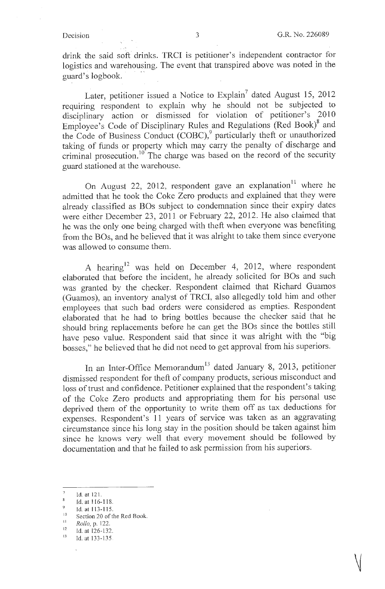drink the said soft drinks. TRCI is petitioner's independent contractor for logistics and warehousing. The event that transpired above was noted in the guard's logbook.

Later, petitioner issued a Notice to Explain<sup>7</sup> dated August 15, 2012 requiring respondent to explain why he should not be subjected to disciplinary action or dismissed for violation of petitioner's 2010 Employee's Code of Disciplinary Rules and Regulations (Red Book)<sup>8</sup> and the Code of Business Conduct  $(COBC)$ <sup>9</sup> particularly theft or unauthorized taking of funds or property which may carry the penalty of discharge and criminal prosecution.  $10^{10}$  The charge was based on the record of the security guard stationed at the warehouse.

On August 22, 2012, respondent gave an explanation<sup>11</sup> where he admitted that he took the Coke Zero products and explained that they were already classified as BOs subject to condemnation since their expiry dates were either December 23, 2011 or February 22, 2012. He also claimed that he was the only one being charged with theft when everyone was benefiting from the BOs, and he believed that it was alright to take them since everyone was allowed to consume them.

A hearing<sup>12</sup> was held on December 4, 2012, where respondent elaborated that before the incident, he already solicited for BOs and such was granted by the checker. Respondent claimed that Richard Guamos (Guamos), an inventory analyst of TRCI, also allegedly told him and other employees that such bad orders were considered as empties. Respondent elaborated that he had to bring bottles because the checker said that he should bring replacements before he can get the BOs since the bottles still have peso value. Respondent said that since it was alright with the "big bosses," he believed that he did not need to get approval from his superiors.

In an Inter-Office Memorandum<sup>13</sup> dated January 8, 2013, petitioner dismissed respondent for theft of company products, serious misconduct and loss of trust and confidence. Petitioner explained that the respondent's taking of the Coke Zero products and appropriating them for his personal use deprived them of the opportunity to write them off as tax deductions for expenses. Respondent's 11 years of service was taken as an aggravating circumstance since his long stay in the position should be taken against him since he knows very well that every movement should be followed by documentation and that he failed to ask permission from his superiors.

 $\bar{7}$ Id. at 121.

 $\mathbf{8}$ Id. at ! I 6-118.

<sup>&</sup>lt;sup>9</sup> Id. at 113-115.<br><sup>10</sup> Section 20 of the Red Book.

<sup>&</sup>lt;sup>11</sup> *Rollo*, p. 122.

<sup>&</sup>lt;sup>12</sup> Id. at 126-132.<br><sup>13</sup> Id. at 133-135.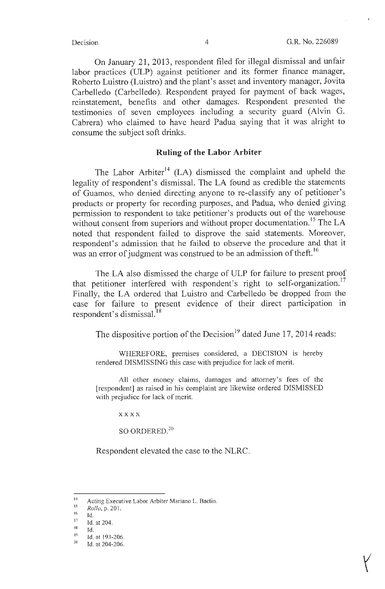On January 21, 2013, respondent filed for illegal dismissal and unfair labor practices (ULP) against petitioner and its former finance manager, Roberto Luistro (Luistro) and the plant's asset and inventory manager, Jovita Carbelledo (Carbelledo). Respondent prayed for payment of back wages, reinstatement, benefits and other damages. Respondent presented the testimonies of seven employees including a security guard (Alvin G. Cabrera) who claimed to have heard Padua saying that it was alright to consume the subject soft drinks.

#### **Ruling of the Labor Arbiter**

The Labor Arbiter<sup>14</sup> (LA) dismissed the complaint and upheld the legality of respondent's dismissal. The LA found as credible the statements of Guamos, who denied directing anyone to re-classify any of petitioner's products or property for recording purposes, and Padua, who denied giving permission to respondent to take petitioner's products out of the warehouse without consent from superiors and without proper documentation.<sup>15</sup> The LA noted that respondent failed to disprove the said statements. Moreover, respondent's admission that he failed to observe the procedure and that it was an error of judgment was construed to be an admission of theft.<sup>16</sup>

The LA also dismissed the charge of ULP for failure to present proof that petitioner interfered with respondent's right to self-organization.<sup>17</sup> Finally, the LA ordered that Luistro and Carbelledo be dropped from the case for failure to present evidence of their direct participation in respondent's dismissal.<sup>18</sup>

The dispositive portion of the Decision<sup>19</sup> dated June 17, 2014 reads:

WHEREFORE, premises considered, a DECISION is hereby rendered DISMISSING this case with prejudice for lack of merit.

All other money claims, damages and attorney's fees of the [respondent] as raised in his complaint are likewise ordered DISMISSED with prejudice for lack of merit.

**xxxx** 

SO ORDERED.<sup>20</sup>

Respondent elevated the case to the NLRC.

<sup>&</sup>lt;sup>14</sup> Acting Executive Labor Arbiter Mariano L. Bactin.

<sup>&</sup>lt;sup>15</sup> *Rollo*, p. 201.

<sup>16</sup> Id.

 $\frac{17}{18}$  Id. at 204.

 $\frac{18}{19}$  Id.

<sup>&</sup>lt;sup>19</sup> Id. at 193-206.<br><sup>20</sup> Id. at 204-206.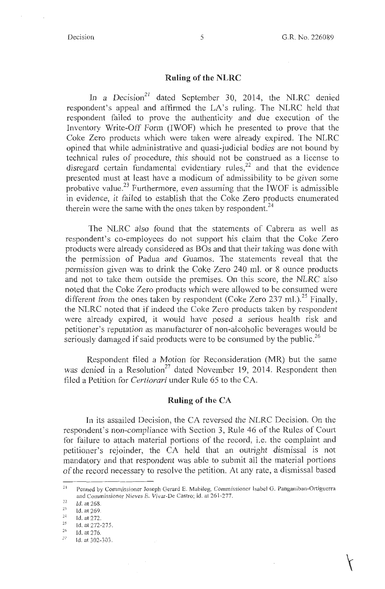#### **Ruling of the NLRC**

In a Decision<sup>21</sup> dated September 30, 2014, the NLRC denied respondent's appeal and affirmed the LA's ruling. The NLRC held that respondent failed to prove the authenticity and due execution of the Inventory Write-Off Form (IWOF) which he presented to prove that the Coke Zero products which were taken were already expired. The NLRC opined that while administrative and quasi-judicial bodies are not bound by technical rules of procedure, this should not be construed as a license to disregard certain fundamental evidentiary rules, $22$  and that the evidence presented must at least have a modicum of admissibility to be given some probative value.<sup>23</sup> Furthermore, even assuming that the IWOF is admissible in evidence, it failed to establish that the Coke Zero products enumerated therein were the same with the ones taken by respondent.<sup>24</sup>

The NLRC also found that the statements of Cabrera as well as respondent's co-employees do not support his claim that the Coke Zero products were already considered as BOs and that their taking was done with the permission of Padua and Guamos. The statements reveal that the permission given was to drink the Coke Zero 240 ml. or 8 ounce products and not to take them outside the premises. On this score, the NLRC also noted that the Coke Zero products which were allowed to be consumed were different from the ones taken by respondent (Coke Zero 237 ml.).<sup>25</sup> Finally, the NLRC noted that if indeed the Coke Zero products taken by respondent were already expired, it would have posed a serious health risk and petitioner's reputation as manufacturer of non-alcoholic beverages would be seriously damaged if said products were to be consumed by the public.<sup>26</sup>

Respondent filed a Motion for Reconsideration (MR) but the same was denied in a Resolution<sup>27</sup> dated November 19, 2014. Respondent then filed a Petition for *Certiorari* under Rule 65 to the CA.

#### **Ruling of the CA**

In its assailed Decision, the CA reversed the NLRC Decision. On the respondent's non-compliance with Section 3, Rule 46 of the Rules of Court for failure to attach material portions of the record, i.e. the complaint and petitioner's rejoinder, the CA held that an outright dismissal is not mandatory and that respondent was able to submit all the material portions of the record necessary to resolve the petition. At any rate, a dismissal based

<sup>&</sup>lt;sup>21</sup> Penned by Commissioner Joseph Gerard E. Mabilog, Commissioner Isabel G. Panganiban-Ortiguerra and Commissioner Nieves E. Vivar-De Castro; id. at 26 1-277.

 $\frac{22}{23}$  Id. at 268.

<sup>2</sup> '

<sup>&</sup>lt;sup>24</sup> Id. at 272.<br><sup>25</sup> Id. at 272-275.

Id. at 276.

 $\mathcal{Z}'$ Id. at 302-303.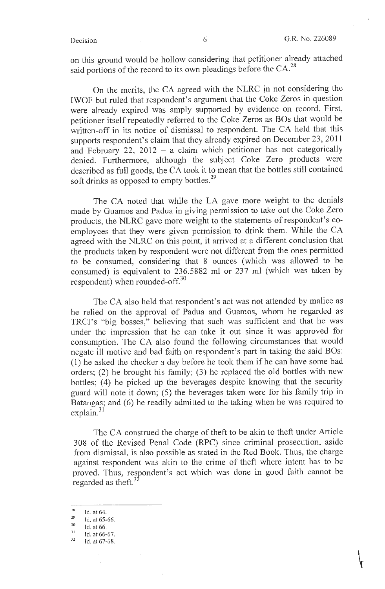on this ground would be hollow considering that petitioner already attached said portions of the record to its own pleadings before the  $CA.^{28}$ 

On the merits, the CA agreed with the NLRC in not considering the IWOF but ruled that respondent's argument that the Coke Zeros in question were already expired was amply supported by evidence on record. First, petitioner itself repeatedly referred to the Coke Zeros as BOs that would be written-off in its notice of dismissal to respondent. The CA held that this supports respondent's claim that they already expired on December 23, 2011 and February 22, 2012 - a claim which petitioner has not categorically denied. Furthermore, although the subject Coke Zero products were described as full goods, the CA took it to mean that the bottles still contained soft drinks as opposed to empty bottles.<sup>29</sup>

The CA noted that while the LA gave more weight to the denials made by Guamos and Padua in giving pennission to take out the Coke Zero products, the NLRC gave more weight to the statements of respondent's coemployees that they were given permission to drink them. While the CA agreed with the NLRC on this point, it arrived at a different conclusion that the products taken by respondent were not different from the ones permitted to be consumed, considering that 8 ounces (which was allowed to be consumed) is equivalent to 236.5882 ml or 237 ml (which was taken by respondent) when rounded-off. 30

The CA also held that respondent's act was not attended by malice as he relied on the approval of Padua and Guamos, whom he regarded as TRCI's "big bosses," believing that such was sufficient and that he was under the impression that he can take it out since it was approved for consumption. The CA also found the following circumstances that would negate ill motive and bad faith on respondent's part in taking the said BOs: (1) he asked the checker a day before he took them if he can have some bad orders; (2) he brought his family; (3) he replaced the old bottles with new bottles; (4) he picked up the beverages despite knowing that the security guard will note it down; (5) the beverages taken were for his family trip in Batangas; and (6) he readily admitted to the taking when he was required to  $explain.<sup>31</sup>$ 

The CA construed the charge of theft to be akin to theft under Article 308 of the Revised Penal Code (RPC) since criminal prosecution, aside from dismissal, is also possible as stated in the Red Book. Thus, the charge against respondent was akin to the crime of theft where intent has to be proved. Thus, respondent's act which was done in good faith cannot be regarded as theft.<sup>32</sup>

 $rac{28}{29}$  Id. at 64.

<sup>&</sup>lt;sup>29</sup> Id. at 65-66.<br><sup>30</sup> Id. at 66.<br><sup>31</sup> Id. at 66-67.<br>Id. at 67-68.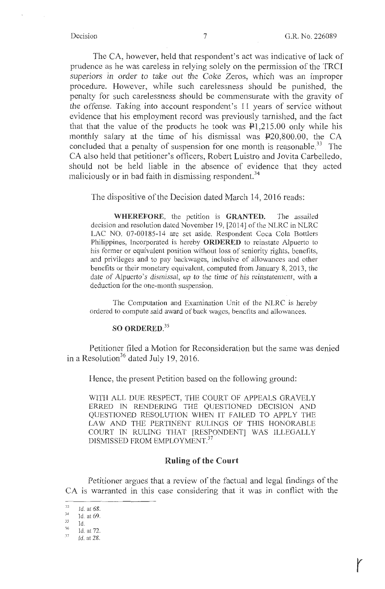The CA, however, held that respondent's act was indicative of lack of prudence as he was careless in relying solely on the permission of the TRCI superiors in order to take out the Coke Zeros, which was an improper procedure. However, while such carelessness should be punished, the penalty for such carelessness should be commensurate with the gravity of the offense. Taking into account respondent's 11 years of service without evidence that his employment record was previously tarnished, and the fact that that the value of the products he took was  $\mathbf{P}1,215.00$  only while his monthly salary at the time of his dismissal was P20,800.00, the CA concluded that a penalty of suspension for one month is reasonable.<sup>33</sup> The CA also held that petitioner's officers, Robert Luistro and Jovita Carbelledo, should not be held liable in the absence of evidence that they acted maliciously or in bad faith in dismissing respondent.<sup>34</sup>

The dispositive of the Decision dated March 14, 2016 reads:

**WHEREFORE,** the petition is **GRANTED.** The assailed decision and resolution dated November 19, [2014] of the NLRC in NLRC LAC NO. 07-00185-14 are set aside. Respondent Coca Cola Bottlers Philippines, Incorporated is hereby **ORDERED** to reinstate Alpuerto to his former or equivalent position without loss of seniority rights, benefits, and privileges and to pay backwages, inclusive of allowances and other benefits or their monetary equivalent, computed from January 8, 2013, the date of Alpuerto's dismissal, up to the time of his reinstatement, with a deduction for the one-month suspension.

The Computation and Examination Unit of the NLRC is hereby ordered to compute said award of back wages, benefits and allowances.

### **SO ORDERED.<sup>35</sup>**

Petitioner filed a Motion for Reconsideration but the same was denied in a Resolution<sup>36</sup> dated July 19, 2016.

Hence, the present Petition based on the following ground:

WITH ALL DUE RESPECT, THE COURT OF APPEALS GRAVELY ERRED IN RENDERING THE QUESTIONED DECISION AND QUESTIONED RESOLUTION WHEN IT FAILED TO APPLY THE LAW AND THE PERTINENT RULINGS OF THIS HONORABLE COURT IN RULING THAT [RESPONDENT] WAS ILLEGALLY DISMISSED FROM EMPLOYMENT.<sup>37</sup>

#### **Ruling of the Court**

Petitioner argues that a review of the factual and legal findings of the CA is warranted in this case considering that it was in conflict with the

 $\frac{33}{34}$  Id. at 68.<br> $\frac{34}{35}$  Id. at 69.

<sup>&</sup>lt;sup>35</sup>Id.<br><sup>36</sup>Id. at 72<br><sup>37</sup>Id. at 28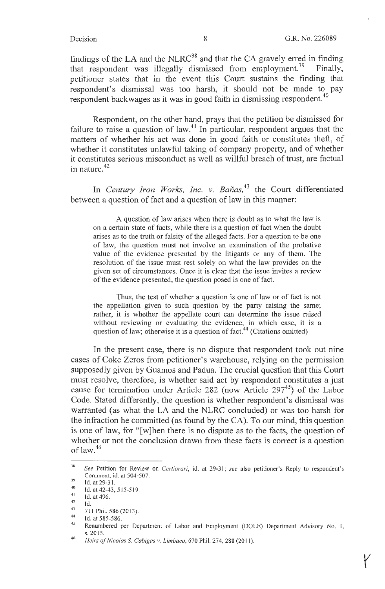findings of the LA and the  $NLRC^{38}$  and that the CA gravely erred in finding that respondent was illegally dismissed from employment.<sup>39</sup> Finally, petitioner states that in the event this Court sustains the finding that respondent's dismissal was too harsh, it should not be made to pay respondent backwages as it was in good faith in dismissing respondent.<sup>40</sup>

Respondent, on the other hand, prays that the petition be dismissed for failure to raise a question of law.<sup>41</sup> In particular, respondent argues that the matters of whether his act was done in good faith or constitutes theft, of whether it constitutes unlawful taking of company property, and of whether it constitutes serious misconduct as well as willful breach of trust, are factual in nature.<sup>42</sup>

In *Century Iron Works, Inc. v. Bañas*,<sup>43</sup> the Court differentiated between a question of fact and a question of law in this manner:

A question of law arises when there is doubt as to what the law is on a certain state of facts, while there is a question of fact when the doubt arises as to the truth or falsity of the alleged facts. For a question to be one of law, the question must not involve an examination of the probative value of the evidence presented by the litigants or any of them. The resolution of the issue must rest solely on what the law provides on the given set of circumstances. Once it is clear that the issue invites a review of the evidence presented, the question posed is one of fact.

Thus, the test of whether a question is one of law or of fact is not the appellation given to such question by the party raising the same; rather, it is whether the appellate court can determine the issue raised without reviewing or evaluating the evidence, in which case, it is a question of law; otherwise it is a question of fact.<sup>44</sup> (Citations omitted)

In the present case, there is no dispute that respondent took out nine cases of Coke Zeros from petitioner's warehouse, relying on the permission supposedly given by Guamos and Padua. The crucial question that this Court must resolve, therefore, is whether said act by respondent constitutes a just cause for termination under Article 282 (now Article 297 $<sup>45</sup>$ ) of the Labor</sup> Code. Stated differently, the question is whether respondent's dismissal was warranted (as what the LA and the NLRC concluded) or was too harsh for the infraction he committed (as found by the CA). To our mind, this question is one of law, for "[w]hen there is no dispute as to the facts, the question of whether or not the conclusion drawn from these facts is correct is a question of law.46

<sup>38</sup>  39 *See* Petition for Review on *Certiorari,* id. at 29-31; *see* also petitioner's Reply to respondent's Comment, id. at 504-507.

<sup>40</sup>  Id. at 29-31 .

<sup>41</sup>  Id. at42-43, 5 15-519.

<sup>42</sup>  Id. at 496.

<sup>43</sup>  Id.

<sup>44</sup>  71 I Phil. 586(2013).

<sup>45</sup>  Id. at 585-586.

<sup>46</sup>  Renumbered per Department of Labor and Employment (DOLE) Department Advisory No. I, s. 2015.

*Heirs of Nicolas* S. *Cabigas v. Limbaco,* 670 Phil. 274, 288 (2011 ).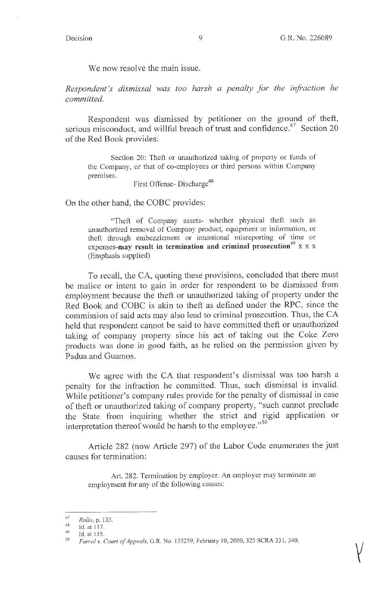We now resolve the main issue.

*Respondent's dismissal was too harsh a penalty for the infraction he committed.* 

Respondent was dismissed by petitioner on the ground of theft, serious misconduct, and willful breach of trust and confidence.<sup>47</sup> Section 20 of the Red Book provides:

Section 20: Theft or unauthorized taking of property or funds of the Company, or that of co-employees or third persons within Company premises.

First Offense- Discharge<sup>48</sup>

On the other hand, the COBC provides:

"Theft of Company assets- whether physical theft such as unauthorized removal of Company product, equipment or information, or theft through embezzlement or intentional misreporting of time or expenses-may result in termination and criminal prosecution<sup>49</sup> x x x (Emphasis supplied)

To recall, the CA, quoting these provisions, concluded that there must be malice or intent to gain in order for respondent to be dismissed from employment because the theft or unauthorized taking of property under the Red Book and COBC is akin to theft as defined under the RPC, since the commission of said acts may also lead to criminal prosecution. Thus, the CA held that respondent cannot be said to have committed theft or unauthorized taking of company property since his act of taking out the Coke Zero products was done in good faith, as he relied on the permission given by Padua and Guamos.

We agree with the CA that respondent's dismissal was too harsh a penalty for the infraction he committed. Thus, such dismissal is invalid. While petitioner's company rules provide for the penalty of dismissal in case of theft or unauthorized taking of company property, "such cannot preclude the State from inquiring whether the strict and rigid application or interpretation thereof would be harsh to the employee."<sup>50</sup>

Article 282 (now Article 297) of the Labor Code enumerates the just causes for termination:

Art. 282. Termination by employer. An employer may terminate an employment for any of the following causes:

<sup>47</sup>  *Rollo,* p. 135.

<sup>48</sup>  Id. at 117.

<sup>49</sup>  Id. at 115.

<sup>50</sup>  *Farrol v. Court of Appeals, G.R. No. 133259, February 10, 2000, 325 SCRA 331, 340.*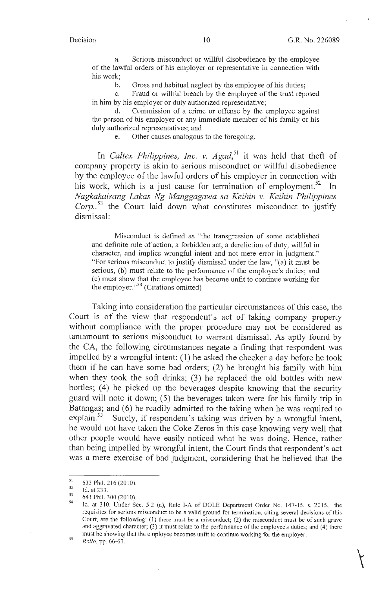a. Serious misconduct or willful disobedience by the employee of the lawful orders of his employer or representative in connection with his work;

b. Gross and habitual neglect by the employee of his duties;

c. Fraud or willful breach by the employee of the trust reposed in him by his employer or duly authorized representative;

d. Commission of a crime or offense by the employee against the person of his employer or any immediate member of his family or his duly authorized representatives; and

e. Other causes analogous to the foregoing.

In *Caltex Philippines, Inc. v. Agad*,<sup>51</sup> it was held that theft of company property is akin to serious misconduct or willful disobedience by the employee of the lawful orders of his employer in connection with his work, which is a just cause for termination of employment.<sup>52</sup> In *Nagkakaisang Lakas Ng Manggagawa sa Keihin* v. *Keihin Philippines Corp.,* 53 the Court laid down what constitutes misconduct to justify dismissal:

Misconduct is defined as "the transgression of some established and definite rule of action, a forbidden act, a dereliction of duty, willful in character, and implies wrongful intent and not mere error in judgment." "For serious misconduct to justify dismissal under the law, "(a) it must be serious, (b) must relate to the performance of the employee's duties; and (c) must show that the employee has become unfit to continue working for the employer."<sup>54</sup> (Citations omitted)

Taking into consideration the particular circumstances of this case, the Court is of the view that respondent's act of taking company property without compliance with the proper procedure may not be considered as tantamount to serious misconduct to warrant dismissal. As aptly found by the CA, the following circumstances negate a finding that respondent was impelled by a wrongful intent: ( 1) he asked the checker a day before he took them if he can have some bad orders; (2) he brought his family with him when they took the soft drinks; (3) he replaced the old bottles with new bottles; (4) he picked up the beverages despite knowing that the security guard will note it down; (5) the beverages taken were for his family trip in Batangas; and (6) he readily admitted to the taking when he was required to explain.<sup>55</sup> Surely, if respondent's taking was driven by a wrongful intent. Surely, if respondent's taking was driven by a wrongful intent, he would not have taken the Coke Zeros in this case knowing very well that other people would have easily noticed what he was doing. Hence, rather than being impelled by wrongful intent, the Court finds that respondent's act was a mere exercise of bad judgment, considering that he believed that the

<sup>51</sup>  633 Phil. 216 (2010).

<sup>52</sup>  Id. at 233.

<sup>53</sup> 641 Phil.300(2010).

<sup>54</sup>  Id. at 310. Under Sec. 5.2 (a), Rule I-A of DOLE Department Order No. 147-15, s. 2015, the requisites for serious misconduct to be a valid ground for termination, citing several decisions of this Court, are the following: (I) there must be a misconduct; (2) the misconduct must be of such grave and aggravated character; (3) it must relate to the performance of the employee's duties; and (4) there must be showing that the employee becomes unfit to continue working for the employer.

<sup>55</sup>  *Rollo,* pp. 66-67.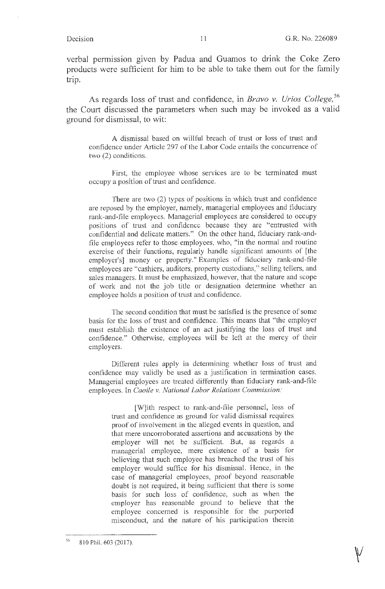verbal permission given by Padua and Guamos to drink the Coke Zero products were sufficient for him to be able to take them out for the family trip.

As regards loss of trust and confidence, in *Bravo v. Urios College*,<sup>56</sup> the Court discussed the parameters when such may be invoked as a valid ground for dismissal, to wit:

A dismissal based on willful breach of trust or loss of trust and confidence under Article 297 of the Labor Code entails the concurrence of two (2) conditions.

First, the employee whose services are to be terminated must occupy a position of trust and confidence.

There are two (2) types of positions in which trust and confidence are reposed by the employer, namely, managerial employees and fiduciary rank-and-file employees. Managerial employees are considered to occupy positions of trust and confidence because they are "entrusted with confidential and delicate matters." On the other hand, fiduciary rank-andfile employees refer to those employees, who, "in the normal and routine exercise of their functions, regularly handle significant amounts of [the employer's] money or property." Examples of fiduciary rank-and-file employees are "cashiers, auditors, property custodians," selling tellers, and sales managers. It must be emphasized, however, that the nature and scope of work and not the job title or designation determine whether an employee holds a position of trust and confidence.

The second condition that must be satisfied is the presence of some basis for the loss of trust and confidence. This means that "the employer must establish the existence of an act justifying the loss of trust and confidence." Otherwise, employees will be left at the mercy of their employers.

Different rules apply in determining whether loss of trust and confidence may validly be used as a justification in termination cases. Managerial employees are treated differently than fiduciary rank-and-file employees. In *Caoile v. National Labor Relations Commission:* 

[W]ith respect to rank-and-file personnel, loss of trust and confidence as ground for valid dismissal requires proof of involvement in the alleged events in question, and that mere uncorroborated assertions and accusations by the employer will not be sufficient. But, as regards a managerial employee, mere existence of a basis for believing that such employee has breached the trust of his employer would suffice for his dismissal. Hence, in the case of managerial employees, proof beyond reasonable doubt is not required, it being sufficient that there is some basis for such loss of confidence, such as when the employer has reasonable ground to believe that the employee concerned is responsible for the purported misconduct, and the nature of his participation therein

<sup>56</sup>  810 Phil. 603 (2017).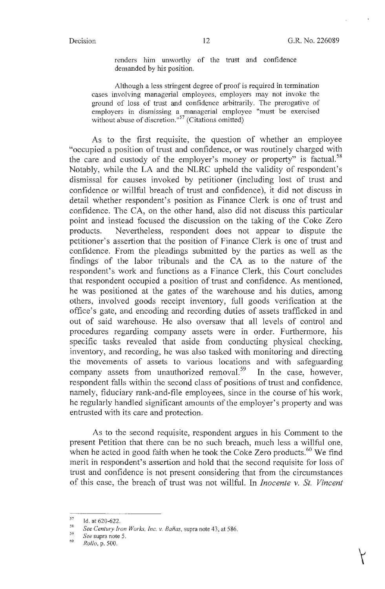renders him unworthy of the trust and confidence demanded by his position.

Although a less stringent degree of proof is required in termination cases involving managerial employees, employers may not invoke the ground of loss of trust and confidence arbitrarily. The prerogative of employers in dismissing a managerial employee "must be exercised without abuse of discretion."<sup>57</sup> (Citations omitted)

As to the first requisite, the question of whether an employee "occupied a position of trust and confidence, or was routinely charged with the care and custody of the employer's money or property" is factual.<sup>58</sup> Notably, while the LA and the NLRC upheld the validity of respondent's dismissal for causes invoked by petitioner (including lost of trust and confidence or willful breach of trust and confidence), it did not discuss in detail whether respondent's position as Finance Clerk is one of trust and confidence. The CA, on the other hand, also did not discuss this particular point and instead focused the discussion on the taking of the Coke Zero products. Nevertheless, respondent does not appear to dispute the petitioner's assertion that the position of Finance Clerk is one of trust and confidence. From the pleadings submitted by the parties as well as the findings of the labor tribunals and the CA as to the nature of the respondent's work and functions as a Finance Clerk, this Court concludes that respondent occupied a position of trust and confidence. As mentioned, he was positioned at the gates of the warehouse and his duties, among others, involved goods receipt inventory, full goods verification at the office's gate, and encoding and recording duties of assets trafficked in and out of said warehouse. He also oversaw that all levels of control and procedures regarding company assets were in order. Furthermore, his specific tasks revealed that aside from conducting physical checking, inventory, and recording, he was also tasked with monitoring and directing the movements of assets to various locations and with safeguarding company assets from unauthorized removal.<sup>59</sup> In the case, however, respondent falls within the second class of positions of trust and confidence, namely, fiduciary rank-and-file employees, since in the course of his work, he regularly handled significant amounts of the employer's property and was entrusted with its care and protection.

As to the second requisite, respondent argues in his Comment to the present Petition that there can be no such breach, much less a willful one, when he acted in good faith when he took the Coke Zero products. $60$  We find merit in respondent's assertion and hold that the second requisite for loss of trust and confidence is not present considering that from the circumstances of this case, the breach of trust was not willful. In *Inocente v. St. Vincent* 

 $^{57}$  Id. at 620-622.

<sup>&</sup>lt;sup>58</sup> See Century Iron Works, Inc. v. Bañas, supra note 43, at 586.<br><sup>59</sup> See supra note 5.<br><sup>60</sup> Rollo, p. 500.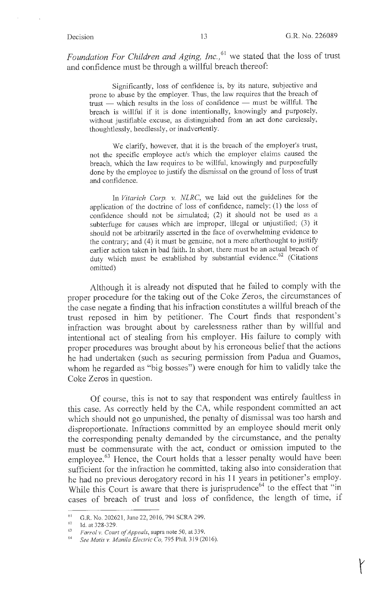Foundation For Children and Aging, Inc.,<sup>61</sup> we stated that the loss of trust and confidence must be through a willful breach thereof:

Significantly, loss of confidence is, by its nature, subjective and prone to abuse by the employer. Thus, the law requires that the breach of trust - which results in the loss of confidence - must be willful. The breach is willful if it is done intentionally, knowingly and purposely, without justifiable excuse, as distinguished from an act done carelessly, thoughtlessly, heedlessly, or inadvertently.

We clarify, however, that it is the breach of the employer's trust, not the specific employee act/s which the employer claims caused the breach, which the law requires to be willful, knowingly and purposefully done by the employee to justify the dismissal on the ground of loss of trust and confidence.

In *Vitarich Corp. v. NLRC,* we laid out the guidelines for the application of the doctrine of loss of confidence, namely: ( 1) the loss of confidence should not be simulated; (2) it should not be used as a subterfuge for causes which are improper, illegal or unjustified; (3) it should not be arbitrarily asserted in the face of overwhelming evidence to the contrary; and (4) it must be genuine, not a mere afterthought to justify earlier action taken in bad faith. In short, there must be an actual breach of duty which must be established by substantial evidence.<sup>62</sup> (Citations omitted)

Although it is already not disputed that he failed to comply with the proper procedure for the taking out of the Coke Zeros, the circumstances of the case negate a finding that his infraction constitutes a willful breach of the trust reposed in him by petitioner. The Court finds that respondent's infraction was brought about by carelessness rather than by willful and intentional act of stealing from his employer. His failure to comply with proper procedures was brought about by his erroneous belief that the actions he had undertaken (such as securing permission from Padua and Guamos, whom he regarded as "big bosses") were enough for him to validly take the Coke Zeros in question.

Of course, this is not to say that respondent was entirely faultless in this case. As correctly held by the CA, while respondent committed an act which should not go unpunished, the penalty of dismissal was too harsh and disproportionate. Infractions committed by an employee should merit only the corresponding penalty demanded by the circumstance, and the penalty must be commensurate with the act, conduct or omission imputed to the employee.<sup>63</sup> Hence, the Court holds that a lesser penalty would have been sufficient for the infraction he committed, taking also into consideration that he had no previous derogatory record in his 11 years in petitioner's employ. While this Court is aware that there is jurisprudence<sup>64</sup> to the effect that "in cases of breach of trust and loss of confidence, the length of time, if

<sup>61</sup>G.R. No. 202621, June 22, 2016, 794 SCRA 299. 62 Id. at 328-329. 63 *Farro/ v. Court ofAppeals,* supra note 50, at 339. 64 *See Matis v. Manila Electric Co,* 795 Phil. 319(2016).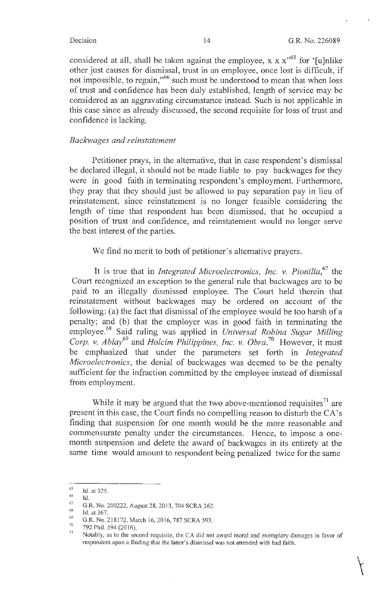$\bigg\{$ 

considered at all, shall be taken against the employee, x x  $x^{0.65}$  for '[u]nlike other just causes for dismissal, trust in an employee, once lost is difficult, if not impossible, to regain,"<sup>66</sup> such must be understood to mean that when loss of trust and confidence has been duly established, length of service may be considered as an aggravating circumstance instead. Such is not applicable in this case since as already discussed, the second requisite for loss of trust and confidence is lacking.

#### *Backwages and reinstatement*

Petitioner prays, in the alternative, that in case respondent's dismissal be declared illegal, it should not be made liable to pay backwages for they were in good faith in terminating respondent's employment. Furthermore, they pray that they should just be allowed to pay separation pay in lieu of reinstatement, since reinstatement is no longer feasible considering the length of time that respondent has been dismissed, that he occupied a position of trust and confidence, and reinstatement would no longer serve the best interest of the parties.

We find no merit to both of petitioner's alternative prayers.

It is true that in *Integrated Microelectronics, Inc. v. Pionilla,* 67 the Court recognized an exception to the general *rule* that backwages are to be paid to an illegally dismissed employee. The Court held therein that reinstatement without backwages may be ordered on account of the following: (a) the fact that dismissal of the employee would be too harsh of a penalty; and (b) that the employer was in good faith in terminating the employee. 68 Said ruling was applied in *Universal Robina Sugar Milling*  Corp. v. Ablay<sup>69</sup> and *Holcim Philippines, Inc. v. Obra.*<sup>70</sup> However, it must be emphasized that under the parameters set forth in *Integrated Microelectronics,* the denial of backwages was deemed to be the penalty sufficient for the infraction committed by the employee instead of dismissal from employment.

While it may be argued that the two above-mentioned requisites $^{71}$  are present in this case, the Court finds no compelling reason to disturb the CA's finding that suspension for one month would be the more reasonable and commensurate penalty under the circumstances. Hence, to impose a onemonth suspension and delete the award of backwages in its entirety at the same time would amount to respondent being penalized twice for the same

<sup>65</sup>   $^{65}$  Id. at 325.<br><sup>66</sup> Id.

<sup>&</sup>lt;sup>67</sup> G.R. No. 200222, August 28, 2013, 704 SCRA 362.<br>
Id. at 367.<br>
G.R. No. 218172, March 16, 2016, 787 SCRA 593.<br>
<sup>70</sup> 792 Phil. 594 (2016).<br>
<sup>70</sup> Notably, as to the second requisite, the CA did not award moral and exemp respondent upon a finding that the latter's dismissal was not attended with bad faith.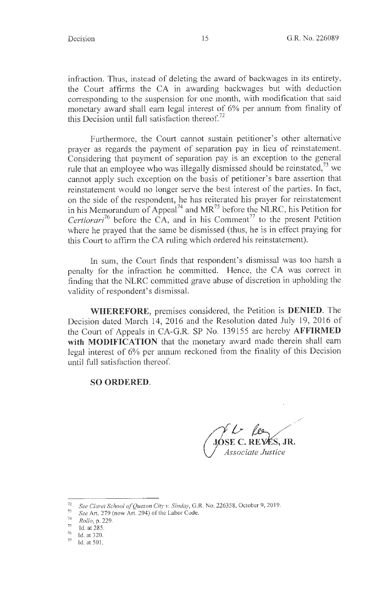infraction. Thus, instead of deleting the award of backwages in its entirety, the Court affirms the CA in awarding backwages but with deduction corresponding to the suspension for one month, with modification that said monetary award shall earn legal interest of 6% per annum from finality of this Decision until full satisfaction thereof. $72$ 

Furthermore, the Court cannot sustain petitioner's other alternative prayer as regards the payment of separation pay in lieu of reinstatement. Considering that payment of separation pay is an exception to the general rule that an employee who was illegally dismissed should be reinstated,  $73$  we cannot apply such exception on the basis of petitioner's bare assertion that reinstatement would no longer serve the best interest of the parties. In fact, on the side of the respondent, he has reiterated his prayer for reinstatement in his Memorandum of Appeal<sup>74</sup> and MR<sup>75</sup> before the NLRC, his Petition for *Certiorari*<sup>76</sup> before the CA, and in his Comment<sup>77</sup> to the present Petition where he prayed that the same be dismissed (thus, he is in effect praying for this Court to affirm the CA ruling which ordered his reinstatement).

In sum, the Court finds that respondent's dismissal was too harsh a penalty for the infraction he committed. Hence, the CA was correct in finding that the NLRC committed grave abuse of discretion in upholding the validity of respondent's dismissal.

**WHEREFORE,** premises considered, the Petition is **DENIED.** The Decision dated March 14, 2016 and the Resolution dated July 19, 2016 of the Court of Appeals in CA-G.R. SP No. 139155 are hereby **AFFIRMED with MODIFICATION** that the monetary award made therein shall earn legal interest of 6% per annum reckoned from the finality of this Decision until full satisfaction thereof.

#### **SO ORDERED.**

*&* ~ */ //*  **E C. REYKs, JR.**  *ssociate Justice* 

<sup>&</sup>lt;sup>72</sup> See Claret School of Quezon City v. Sinday, G.R. No. 226358, October 9, 2019.

<sup>&</sup>lt;sup>73</sup> *See Art.* 279 (now Art. 294) of the Labor Code.<br> $\frac{74}{74}$   $\frac{p_1H_1}{r_1}$  = 220.

<sup>74</sup> *Rollo*, p. 229.<br>
75 Id. at 285.<br>
76 Id. at 320.<br>
77 Id. at 501.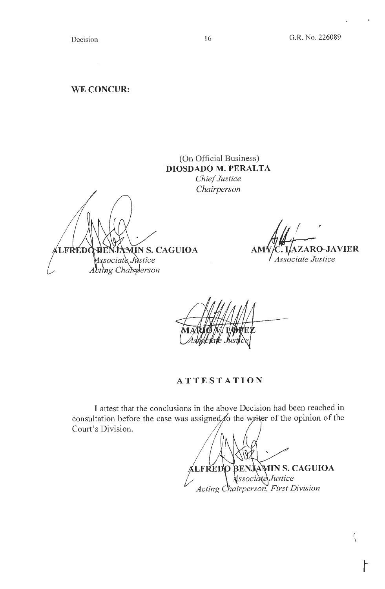**WE CONCUR:** 

# (On Official Business) **DIOSDADO M. PERALTA**  *Chief Justice*

*Chairperson* 

MIN S. CAGUIOA **LFREDO** Associate Justice Acting Chairperson

ZARO-JAVIER AM Associate Justice

*(*  \

**AT T ESTATION** 

I attest that the conclusions in the above Decision had been reached in consultation before the case was assigned to the writer of the opinion of the Court's Division.

**LFREDO BENJAMIN S. CAGUIOA**<br> **Associate** Justice<br> *Acting Chairperson, First Division* **LFREDO** 

16